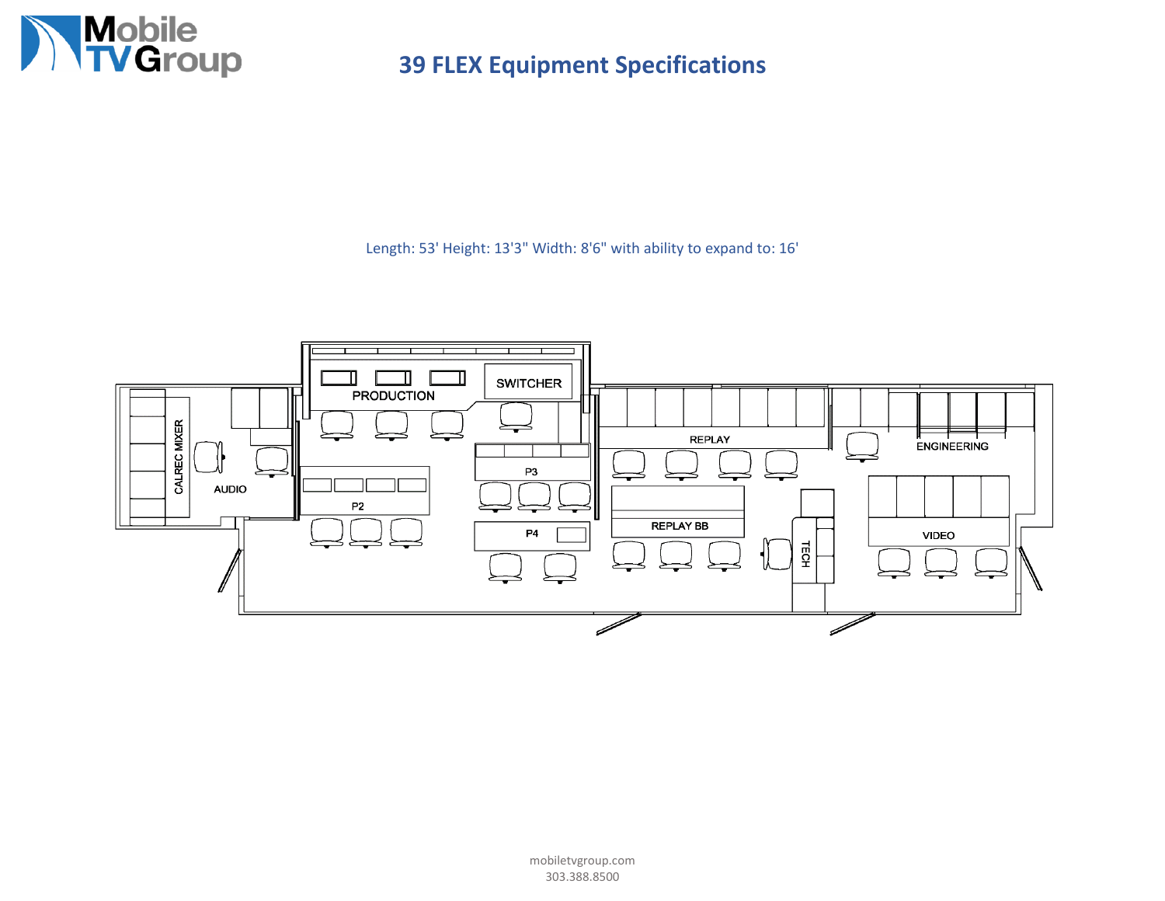

Length: 53' Height: 13'3" Width: 8'6" with ability to expand to: 16'